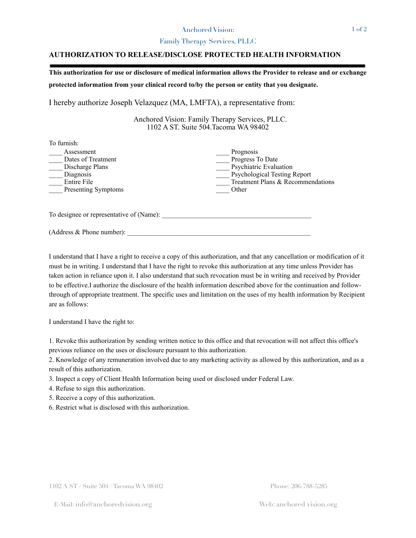## Anchored Vision:

## Family Therapy Services, PLLC

## **AUTHORIZATION TO RELEASE/DISCLOSE PROTECTED HEALTH INFORMATION**

**This authorization for use or disclosure of medical information allows the Provider to release and or exchange protected information from your clinical record to/by the person or entity that you designate.** 

I hereby authorize Joseph Velazquez (MA, LMFTA), a representative from:

 Anchored Vision: Family Therapy Services, PLLC. 1102 A ST. Suite 504.Tacoma WA 98402

| To furnish:                                                                                            |                                                                                                                                              |
|--------------------------------------------------------------------------------------------------------|----------------------------------------------------------------------------------------------------------------------------------------------|
| Assessment<br>Dates of Treatment<br>Discharge Plans<br>Diagnosis<br>Entire File<br>Presenting Symptoms | Prognosis<br>Progress To Date<br>Psychiatric Evaluation<br><b>Psychological Testing Report</b><br>Treatment Plans & Recommendations<br>Other |
| To designee or representative of (Name):                                                               |                                                                                                                                              |
| (Address & Phone number):                                                                              |                                                                                                                                              |

I understand that I have a right to receive a copy of this authorization, and that any cancellation or modification of it must be in writing. I understand that I have the right to revoke this authorization at any time unless Provider has taken action in reliance upon it. I also understand that such revocation must be in writing and received by Provider to be effective.I authorize the disclosure of the health information described above for the continuation and followthrough of appropriate treatment. The specific uses and limitation on the uses of my health information by Recipient are as follows:

I understand I have the right to:

1. Revoke this authorization by sending written notice to this office and that revocation will not affect this office's previous reliance on the uses or disclosure pursuant to this authorization.

2. Knowledge of any remuneration involved due to any marketing activity as allowed by this authorization, and as a result of this authorization.

3. Inspect a copy of Client Health Information being used or disclosed under Federal Law.

4. Refuse to sign this authorization.

5. Receive a copy of this authorization.

6. Restrict what is disclosed with this authorization.